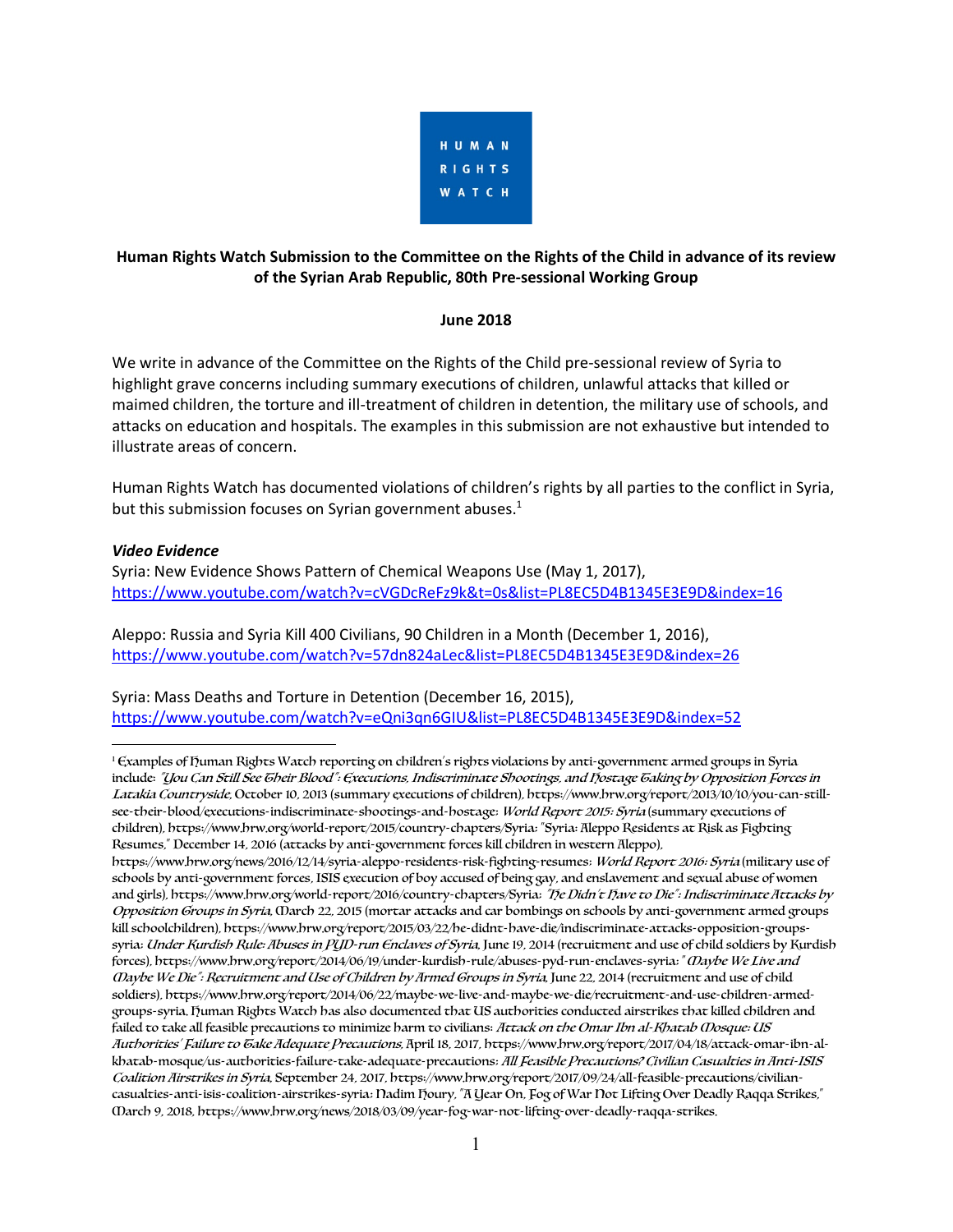

# **Human Rights Watch Submission to the Committee on the Rights of the Child in advance of its review of the Syrian Arab Republic, 80th Pre-sessional Working Group**

### **June 2018**

We write in advance of the Committee on the Rights of the Child pre-sessional review of Syria to highlight grave concerns including summary executions of children, unlawful attacks that killed or maimed children, the torture and ill-treatment of children in detention, the military use of schools, and attacks on education and hospitals. The examples in this submission are not exhaustive but intended to illustrate areas of concern.

Human Rights Watch has documented violations of children's rights by all parties to the conflict in Syria, but this submission focuses on Syrian government abuses.<sup>1</sup>

### *Video Evidence*

Syria: New Evidence Shows Pattern of Chemical Weapons Use (May 1, 2017), https://www.youtube.com/watch?v=cVGDcReFz9k&t=0s&list=PL8EC5D4B1345E3E9D&index=16

Aleppo: Russia and Syria Kill 400 Civilians, 90 Children in a Month (December 1, 2016), https://www.youtube.com/watch?v=57dn824aLec&list=PL8EC5D4B1345E3E9D&index=26

Syria: Mass Deaths and Torture in Detention (December 16, 2015), https://www.youtube.com/watch?v=eQni3qn6GIU&list=PL8EC5D4B1345E3E9D&index=52

 $\overline{a}$ <sup>1</sup> Examples of Human Rights Watch reporting on children's rights violations by anti-government armed groups in Syria include: "You Can Still See Their Blood": Executions, Indiscriminate Shootings, and Hostage Taking by Opposition Forces in Latakia Countryside, October 10, 2013 (summary executions of children), https://www.hrw.org/report/2013/10/10/you-can-stillsee-their-blood/executions-indiscriminate-shootings-and-hostage: World Report 2015: Syria (summary executions of children), https://www.hrw.org/world-report/2015/country-chapters/Syria; "Syria: Aleppo Residents at Risk as Fighting Resumes," December 14, 2016 (attacks by anti-government forces kill children in western Aleppo),

https://www.hrw.org/news/2016/12/14/syria-aleppo-residents-risk-fighting-resumes; World Report 2016: Syria (military use of schools by anti-government forces, ISIS execution of boy accused of being gay, and enslavement and sexual abuse of women and girls), https://www.hrw.org/world-report/2016/country-chapters/Syria: "he Didn't have to Die": Indiscriminate Attacks by Opposition Groups in Syria, March 22, 2015 (mortar attacks and car bombings on schools by anti-government armed groups kill schoolchildren), https://www.hrw.org/report/2015/03/22/he-didnt-have-die/indiscriminate-attacks-opposition-groupssyria: Under Kurdish Rule: Abuses in PUD-run Enclaves of Syria, June 19, 2014 (recruitment and use of child soldiers by Kurdish forces), https://www.hrw.org/report/2014/06/19/under-kurdish-rule/abuses-pyd-run-enclaves-syria: "Oaybe We Live and Maybe We Die": Recruitment and Use of Children by Armed Groups in Syria, June 22, 2014 (recruitment and use of child soldiers), https://www.hrw.org/report/2014/06/22/maybe-we-live-and-maybe-we-die/recruitment-and-use-children-armedgroups-syria. Human Rights Watch has also documented that US authorities conducted airstrikes that killed children and failed to take all feasible precautions to minimize harm to civilians: Attack on the Omar Ibn al-Khatab (Dosque: US Authorities' Failure to Take Adequate Precautions, April 18, 2017, https://www.hrw.org/report/2017/04/18/attack-omar-ibn-alkhatab-mosque/us-authorities-failure-take-adequate-precautions; All Feasible Precautions? Civilian Casualties in Anti-ISIS Coalition Airstrikes in Syria, September 24, 2017, https://www.hrw.org/report/2017/09/24/all-feasible-precautions/civiliancasualties-anti-isis-coalition-airstrikes-syria; Nadim Houry, "A Year On, Fog of War Not Lifting Over Deadly Raqqa Strikes," March 9, 2018, https://www.hrw.org/news/2018/03/09/year-fog-war-not-lifting-over-deadly-raqqa-strikes.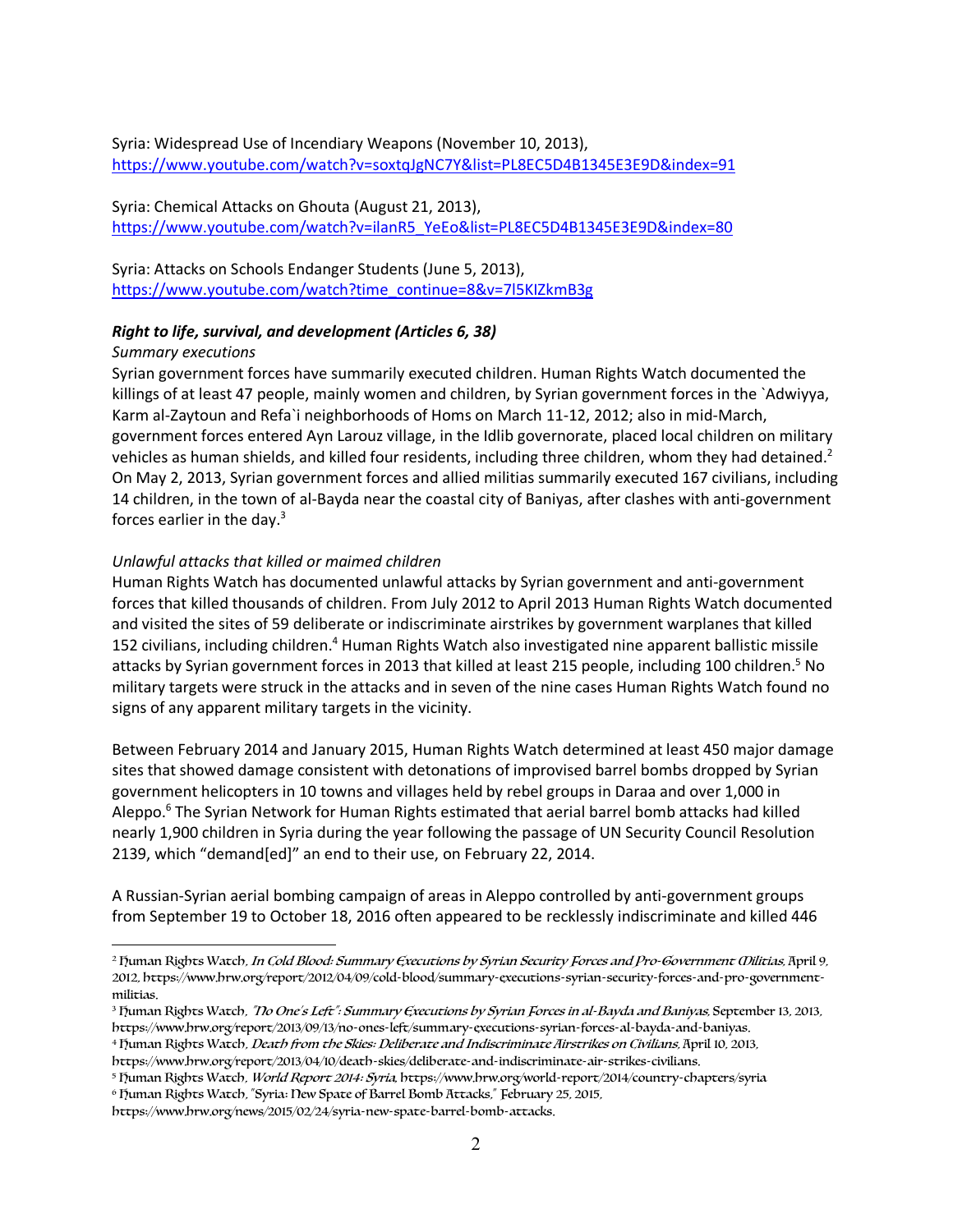Syria: Widespread Use of Incendiary Weapons (November 10, 2013), https://www.youtube.com/watch?v=soxtqJgNC7Y&list=PL8EC5D4B1345E3E9D&index=91

Syria: Chemical Attacks on Ghouta (August 21, 2013), https://www.youtube.com/watch?v=ilanR5\_YeEo&list=PL8EC5D4B1345E3E9D&index=80

Syria: Attacks on Schools Endanger Students (June 5, 2013), https://www.youtube.com/watch?time\_continue=8&v=7l5KIZkmB3g

#### *Right to life, survival, and development (Articles 6, 38)*

#### *Summary executions*

 $\overline{a}$ 

Syrian government forces have summarily executed children. Human Rights Watch documented the killings of at least 47 people, mainly women and children, by Syrian government forces in the `Adwiyya, Karm al-Zaytoun and Refa`i neighborhoods of Homs on March 11-12, 2012; also in mid-March, government forces entered Ayn Larouz village, in the Idlib governorate, placed local children on military vehicles as human shields, and killed four residents, including three children, whom they had detained.<sup>2</sup> On May 2, 2013, Syrian government forces and allied militias summarily executed 167 civilians, including 14 children, in the town of al-Bayda near the coastal city of Baniyas, after clashes with anti-government forces earlier in the day.3

#### *Unlawful attacks that killed or maimed children*

Human Rights Watch has documented unlawful attacks by Syrian government and anti-government forces that killed thousands of children. From July 2012 to April 2013 Human Rights Watch documented and visited the sites of 59 deliberate or indiscriminate airstrikes by government warplanes that killed 152 civilians, including children.4 Human Rights Watch also investigated nine apparent ballistic missile attacks by Syrian government forces in 2013 that killed at least 215 people, including 100 children.<sup>5</sup> No military targets were struck in the attacks and in seven of the nine cases Human Rights Watch found no signs of any apparent military targets in the vicinity.

Between February 2014 and January 2015, Human Rights Watch determined at least 450 major damage sites that showed damage consistent with detonations of improvised barrel bombs dropped by Syrian government helicopters in 10 towns and villages held by rebel groups in Daraa and over 1,000 in Aleppo.<sup>6</sup> The Syrian Network for Human Rights estimated that aerial barrel bomb attacks had killed nearly 1,900 children in Syria during the year following the passage of UN Security Council Resolution 2139, which "demand[ed]" an end to their use, on February 22, 2014.

A Russian-Syrian aerial bombing campaign of areas in Aleppo controlled by anti-government groups from September 19 to October 18, 2016 often appeared to be recklessly indiscriminate and killed 446

https://www.hrw.org/news/2015/02/24/syria-new-spate-barrel-bomb-attacks.

<sup>&</sup>lt;sup>2</sup> Fuman Rights Watch, In Cold Blood: Summary Executions by Syrian Security Forces and Pro-Government Wilitias, April 9, 2012, https://www.hrw.org/report/2012/04/09/cold-blood/summary-executions-syrian-security-forces-and-pro-governmentmilitias.

<sup>&</sup>lt;sup>3</sup> Fuman Rights Watch, "*No One's Left": Summary Executions by Syrian Forces in al-Bayda and Baniyas, September 13, 2013,* https://www.hrw.org/report/2013/09/13/no-ones-left/summary-executions-syrian-forces-al-bayda-and-baniyas.

<sup>&</sup>lt;sup>4</sup> Fuman Rights Watch, *Death from the Skies: Deliberate and Indiscriminate Airstrikes on Civilians*, April 10, 2013,

https://www.hrw.org/report/2013/04/10/death-skies/deliberate-and-indiscriminate-air-strikes-civilians.

<sup>5</sup> Fuman Rights Watch, World Report 2014: Syria, https://www.hrw.org/world-report/2014/country-chapters/syria

<sup>&</sup>lt;sup>6</sup> Fuman Rights Watch, "Syria: New Spate of Barrel Bomb Attacks," February 25, 2015,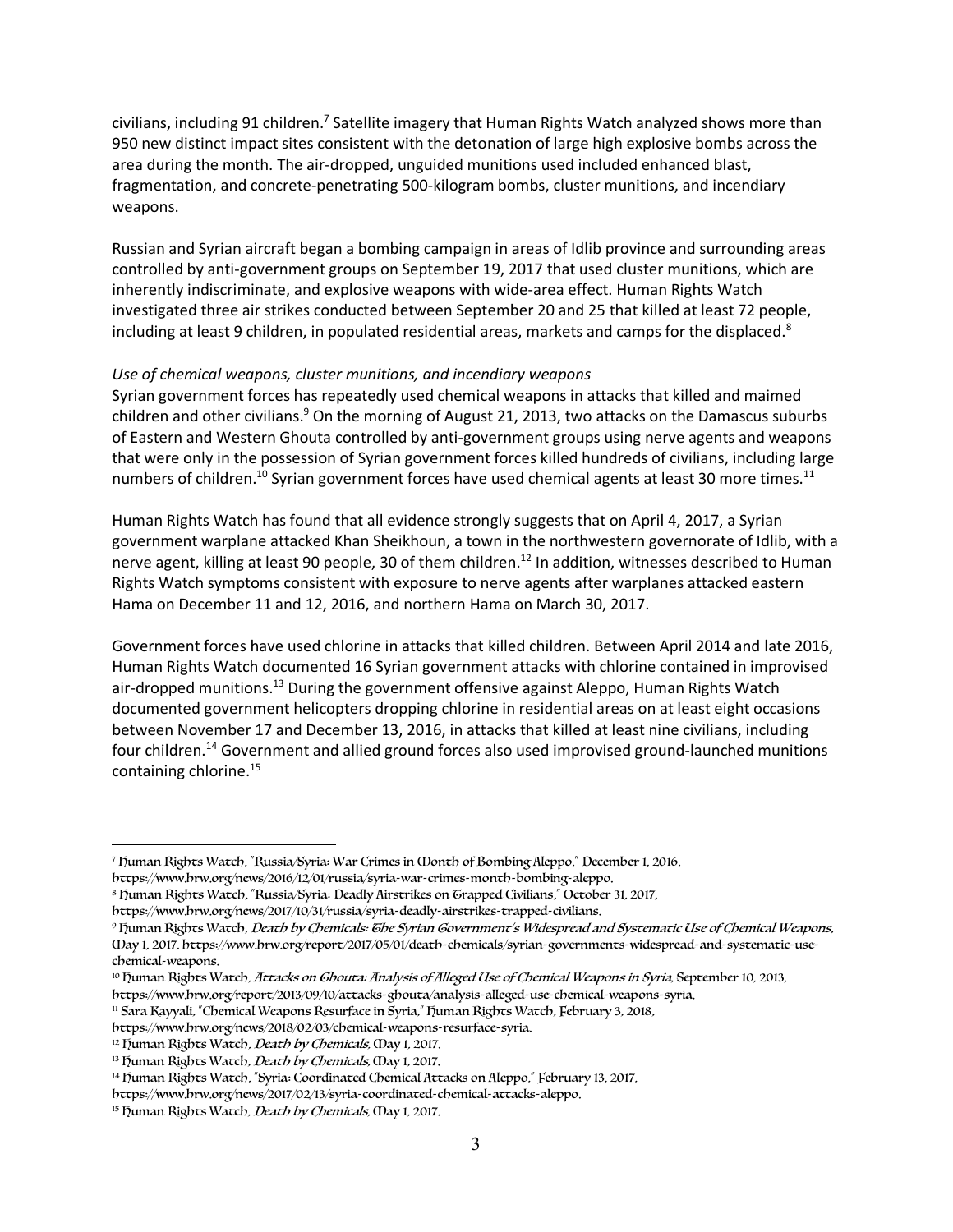civilians, including 91 children.<sup>7</sup> Satellite imagery that Human Rights Watch analyzed shows more than 950 new distinct impact sites consistent with the detonation of large high explosive bombs across the area during the month. The air-dropped, unguided munitions used included enhanced blast, fragmentation, and concrete-penetrating 500-kilogram bombs, cluster munitions, and incendiary weapons.

Russian and Syrian aircraft began a bombing campaign in areas of Idlib province and surrounding areas controlled by anti-government groups on September 19, 2017 that used cluster munitions, which are inherently indiscriminate, and explosive weapons with wide-area effect. Human Rights Watch investigated three air strikes conducted between September 20 and 25 that killed at least 72 people, including at least 9 children, in populated residential areas, markets and camps for the displaced. $8$ 

#### *Use of chemical weapons, cluster munitions, and incendiary weapons*

Syrian government forces has repeatedly used chemical weapons in attacks that killed and maimed children and other civilians.<sup>9</sup> On the morning of August 21, 2013, two attacks on the Damascus suburbs of Eastern and Western Ghouta controlled by anti-government groups using nerve agents and weapons that were only in the possession of Syrian government forces killed hundreds of civilians, including large numbers of children.<sup>10</sup> Syrian government forces have used chemical agents at least 30 more times.<sup>11</sup>

Human Rights Watch has found that all evidence strongly suggests that on April 4, 2017, a Syrian government warplane attacked Khan Sheikhoun, a town in the northwestern governorate of Idlib, with a nerve agent, killing at least 90 people, 30 of them children.<sup>12</sup> In addition, witnesses described to Human Rights Watch symptoms consistent with exposure to nerve agents after warplanes attacked eastern Hama on December 11 and 12, 2016, and northern Hama on March 30, 2017.

Government forces have used chlorine in attacks that killed children. Between April 2014 and late 2016, Human Rights Watch documented 16 Syrian government attacks with chlorine contained in improvised air-dropped munitions.13 During the government offensive against Aleppo, Human Rights Watch documented government helicopters dropping chlorine in residential areas on at least eight occasions between November 17 and December 13, 2016, in attacks that killed at least nine civilians, including four children.<sup>14</sup> Government and allied ground forces also used improvised ground-launched munitions containing chlorine.<sup>15</sup>

 $\overline{a}$ 

<sup>7</sup> Human Rights Watch, "Russia/Syria: War Crimes in Month of Bombing Aleppo," December 1, 2016, https://www.hrw.org/news/2016/12/01/russia/syria-war-crimes-month-bombing-aleppo.

<sup>8</sup> Human Rights Watch, "Russia/Syria: Deadly Airstrikes on Trapped Civilians," October 31, 2017,

https://www.hrw.org/news/2017/10/31/russia/syria-deadly-airstrikes-trapped-civilians.

<sup>&</sup>lt;sup>9</sup> Fuman Rights Watch, Death by Chemicals: Ghe Syrian Government's Widespread and Systematic Use of Chemical Weapons, May 1, 2017, https://www.hrw.org/report/2017/05/01/death-chemicals/syrian-governments-widespread-and-systematic-usechemical-weapons.

<sup>&</sup>lt;sup>10</sup> Fuman Rights Watch, Attacks on Ghouta: Analysis of Alleged Use of Chemical Weapons in Syria, September 10, 2013,

https://www.hrw.org/report/2013/09/10/attacks-ghouta/analysis-alleged-use-chemical-weapons-syria. <sup>11</sup> Sara Kayyali, "Chemical Weapons Resurface in Syria," Ijuman Rights Watch, February 3, 2018,

https://www.hrw.org/news/2018/02/03/chemical-weapons-resurface-syria.

<sup>&</sup>lt;sup>12</sup> Fuman Rights Watch, *Death by Chemicals*, (Day 1, 2017.

<sup>&</sup>lt;sup>13</sup> Fuman Rights Watch, *Death by Chemicals*, (Day 1, 2017.

<sup>&</sup>lt;sup>14</sup> Fuman Rights Watch, "Syria: Coordinated Chemical Attacks on Aleppo," February 13, 2017,

https://www.hrw.org/news/2017/02/13/syria-coordinated-chemical-attacks-aleppo.

<sup>&</sup>lt;sup>15</sup> Fuman Rights Watch, *Death by Chemicals*, (Day 1, 2017.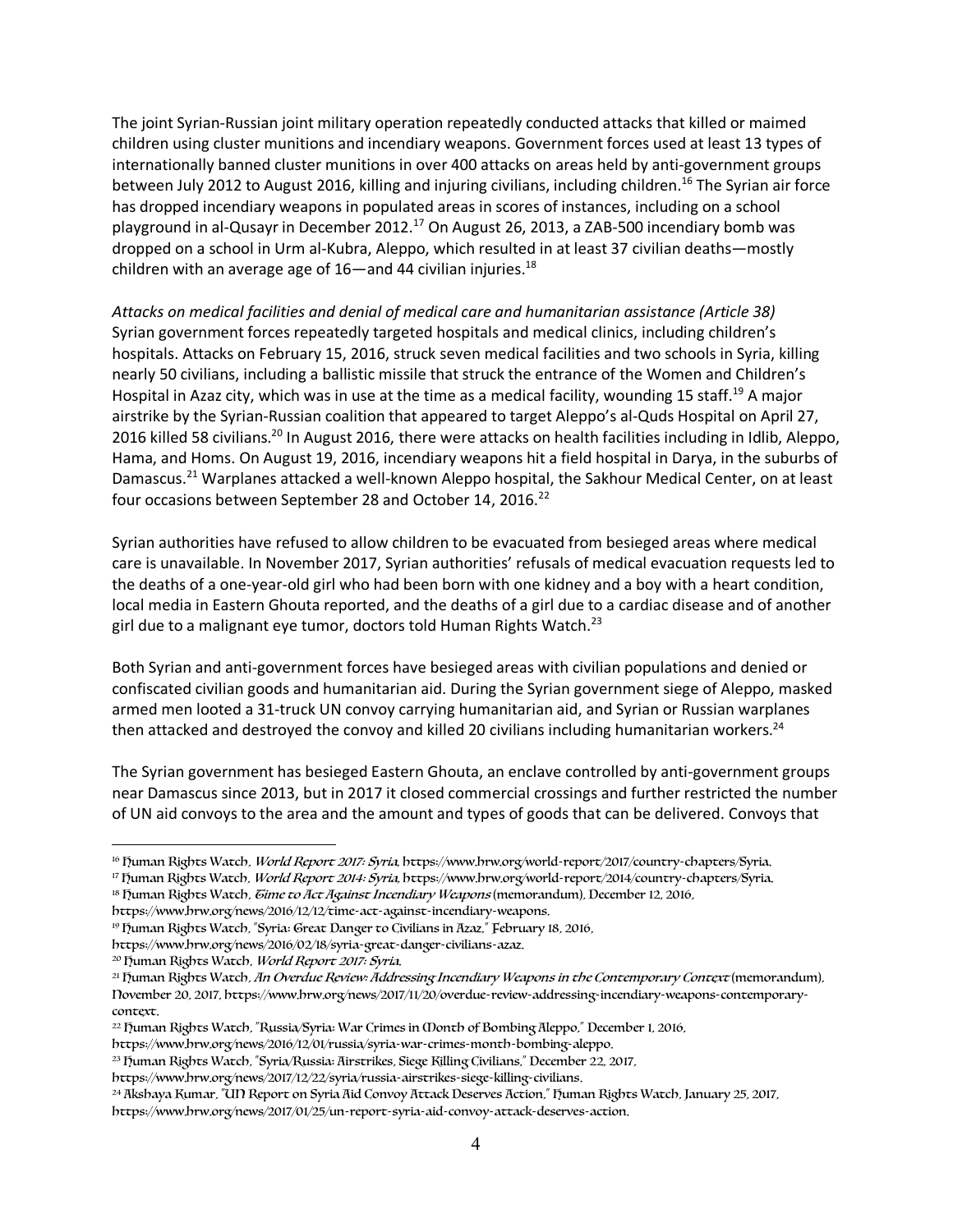The joint Syrian-Russian joint military operation repeatedly conducted attacks that killed or maimed children using cluster munitions and incendiary weapons. Government forces used at least 13 types of internationally banned cluster munitions in over 400 attacks on areas held by anti-government groups between July 2012 to August 2016, killing and injuring civilians, including children.<sup>16</sup> The Syrian air force has dropped incendiary weapons in populated areas in scores of instances, including on a school playground in al-Qusayr in December 2012.17 On August 26, 2013, a ZAB-500 incendiary bomb was dropped on a school in Urm al-Kubra, Aleppo, which resulted in at least 37 civilian deaths—mostly children with an average age of 16—and 44 civilian injuries. $^{18}$ 

*Attacks on medical facilities and denial of medical care and humanitarian assistance (Article 38)* Syrian government forces repeatedly targeted hospitals and medical clinics, including children's hospitals. Attacks on February 15, 2016, struck seven medical facilities and two schools in Syria, killing nearly 50 civilians, including a ballistic missile that struck the entrance of the Women and Children's Hospital in Azaz city, which was in use at the time as a medical facility, wounding 15 staff.<sup>19</sup> A major airstrike by the Syrian-Russian coalition that appeared to target Aleppo's al-Quds Hospital on April 27, 2016 killed 58 civilians.<sup>20</sup> In August 2016, there were attacks on health facilities including in Idlib, Aleppo, Hama, and Homs. On August 19, 2016, incendiary weapons hit a field hospital in Darya, in the suburbs of Damascus.<sup>21</sup> Warplanes attacked a well-known Aleppo hospital, the Sakhour Medical Center, on at least four occasions between September 28 and October 14, 2016.<sup>22</sup>

Syrian authorities have refused to allow children to be evacuated from besieged areas where medical care is unavailable. In November 2017, Syrian authorities' refusals of medical evacuation requests led to the deaths of a one-year-old girl who had been born with one kidney and a boy with a heart condition, local media in Eastern Ghouta reported, and the deaths of a girl due to a cardiac disease and of another girl due to a malignant eye tumor, doctors told Human Rights Watch.<sup>23</sup>

Both Syrian and anti-government forces have besieged areas with civilian populations and denied or confiscated civilian goods and humanitarian aid. During the Syrian government siege of Aleppo, masked armed men looted a 31-truck UN convoy carrying humanitarian aid, and Syrian or Russian warplanes then attacked and destroyed the convoy and killed 20 civilians including humanitarian workers.<sup>24</sup>

The Syrian government has besieged Eastern Ghouta, an enclave controlled by anti-government groups near Damascus since 2013, but in 2017 it closed commercial crossings and further restricted the number of UN aid convoys to the area and the amount and types of goods that can be delivered. Convoys that

 $\overline{a}$ 

<sup>&</sup>lt;sup>16</sup> Human Rights Watch, World Report 2017: Syria, https://www.hrw.org/world-report/2017/country-chapters/Syria.

<sup>&</sup>lt;sup>17</sup> Fuman Rights Watch, World Report 2014: Syria, https://www.hrw.org/world-report/2014/country-chapters/Syria.

<sup>&</sup>lt;sup>18</sup> Fuman Rights Watch, Gime to Act Against Incendiary Weapons (memorandum), December 12, 2016,

https://www.hrw.org/news/2016/12/12/time-act-against-incendiary-weapons.

<sup>19</sup> Human Rights Watch, "Syria: Great Danger to Civilians in Azaz," February 18, 2016,

https://www.hrw.org/news/2016/02/18/syria-great-danger-civilians-azaz.

<sup>&</sup>lt;sup>20</sup> Fuman Rights Watch, World Report 2017: Syria.

<sup>&</sup>lt;sup>21</sup> Fuman Rights Watch, An Overdue Review: Addressing Incendiary Weapons in the Contemporary Context (memorandum), November 20, 2017, https://www.hrw.org/news/2017/11/20/overdue-review-addressing-incendiary-weapons-contemporarycontext.

<sup>&</sup>lt;sup>22</sup> Fuman Rights Watch, "Russia/Syria: War Crimes in Oonth of Bombing Aleppo," December 1, 2016,

https://www.hrw.org/news/2016/12/01/russia/syria-war-crimes-month-bombing-aleppo.

<sup>&</sup>lt;sup>23</sup> Fuman Rights Watch, "Syria/Russia: Airstrikes, Siege Killing Civilians," December 22, 2017,

https://www.hrw.org/news/2017/12/22/syria/russia-airstrikes-siege-killing-civilians.

<sup>24</sup> Akshaya Kumar, "UN Report on Syria Aid Convoy Attack Deserves Action," Human Rights Watch, January 25, 2017, https://www.hrw.org/news/2017/01/25/un-report-syria-aid-convoy-attack-deserves-action.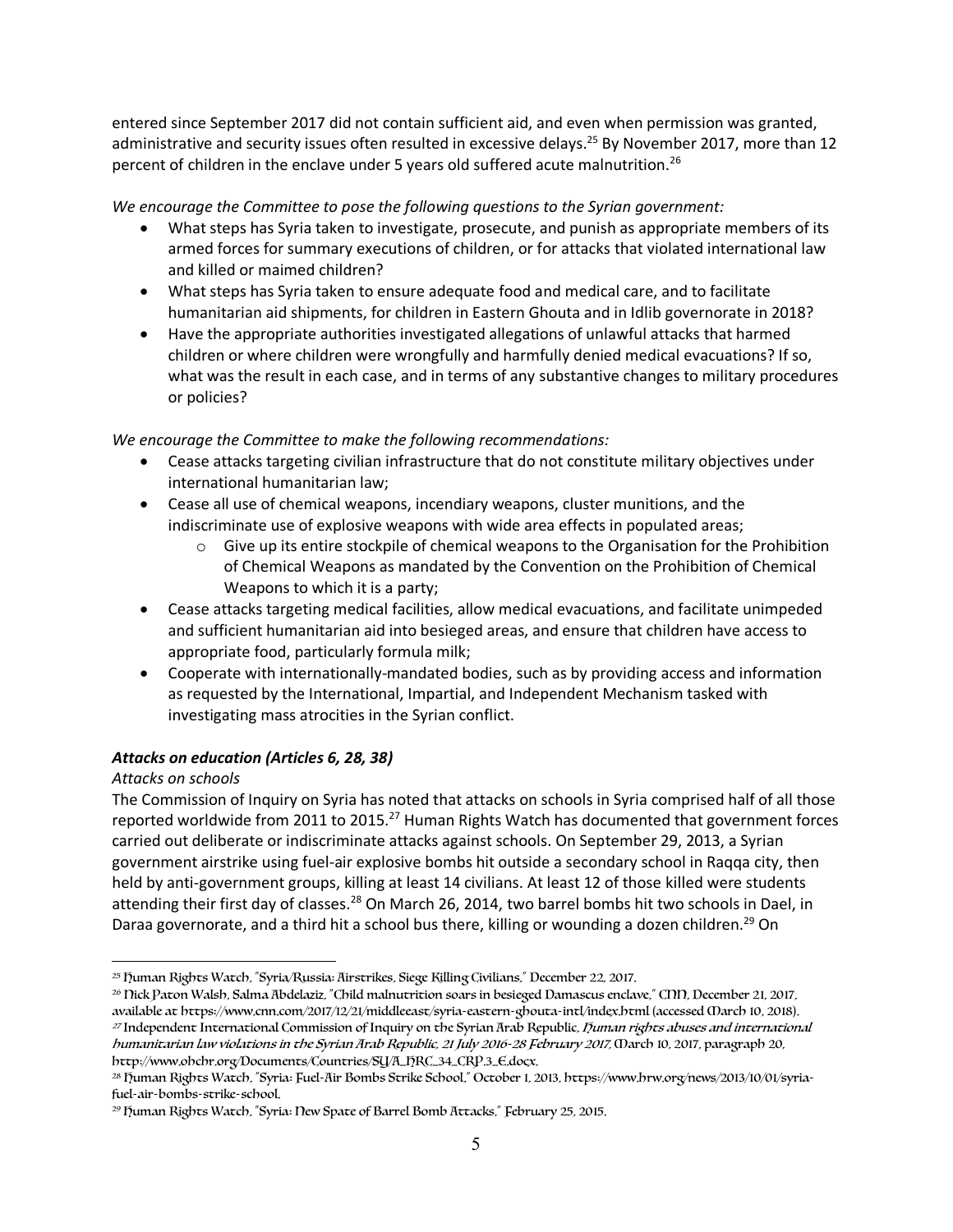entered since September 2017 did not contain sufficient aid, and even when permission was granted, administrative and security issues often resulted in excessive delays.<sup>25</sup> By November 2017, more than 12 percent of children in the enclave under 5 years old suffered acute malnutrition.<sup>26</sup>

## *We encourage the Committee to pose the following questions to the Syrian government:*

- What steps has Syria taken to investigate, prosecute, and punish as appropriate members of its armed forces for summary executions of children, or for attacks that violated international law and killed or maimed children?
- What steps has Syria taken to ensure adequate food and medical care, and to facilitate humanitarian aid shipments, for children in Eastern Ghouta and in Idlib governorate in 2018?
- Have the appropriate authorities investigated allegations of unlawful attacks that harmed children or where children were wrongfully and harmfully denied medical evacuations? If so, what was the result in each case, and in terms of any substantive changes to military procedures or policies?

## *We encourage the Committee to make the following recommendations:*

- Cease attacks targeting civilian infrastructure that do not constitute military objectives under international humanitarian law;
- Cease all use of chemical weapons, incendiary weapons, cluster munitions, and the indiscriminate use of explosive weapons with wide area effects in populated areas;
	- $\circ$  Give up its entire stockpile of chemical weapons to the Organisation for the Prohibition of Chemical Weapons as mandated by the Convention on the Prohibition of Chemical Weapons to which it is a party;
- Cease attacks targeting medical facilities, allow medical evacuations, and facilitate unimpeded and sufficient humanitarian aid into besieged areas, and ensure that children have access to appropriate food, particularly formula milk;
- Cooperate with internationally-mandated bodies, such as by providing access and information as requested by the International, Impartial, and Independent Mechanism tasked with investigating mass atrocities in the Syrian conflict.

## *Attacks on education (Articles 6, 28, 38)*

## *Attacks on schools*

The Commission of Inquiry on Syria has noted that attacks on schools in Syria comprised half of all those reported worldwide from 2011 to 2015.<sup>27</sup> Human Rights Watch has documented that government forces carried out deliberate or indiscriminate attacks against schools. On September 29, 2013, a Syrian government airstrike using fuel-air explosive bombs hit outside a secondary school in Raqqa city, then held by anti-government groups, killing at least 14 civilians. At least 12 of those killed were students attending their first day of classes.<sup>28</sup> On March 26, 2014, two barrel bombs hit two schools in Dael, in Daraa governorate, and a third hit a school bus there, killing or wounding a dozen children.<sup>29</sup> On

 $\overline{a}$ <sup>25</sup> Human Rights Watch, "Syria/Russia: Airstrikes, Siege Killing Civilians," December 22, 2017.

<sup>&</sup>lt;sup>26</sup> Nick Paton Walsh, Salma Abdelaziz, "Child malnutrition soars in besieged Damascus enclave," CNN, December 21, 2017, available at https://www.cnn.com/2017/12/21/middleeast/syria-eastern-ghouta-intl/index.html (accessed March 10, 2018). <sup>27</sup> Independent International Commission of Inquiry on the Syrian Arab Republic, *Duman rights abuses and international* humanitarian law violations in the Syrian Arab Republic, 21 July 2016-28 February 2017, March 10, 2017, paragraph 20, http://www.ohchr.org/Documents/Countries/SY/A\_HRC\_34\_CRP.3\_E.docx.

<sup>28</sup> Human Rights Watch, "Syria: Fuel-Air Bombs Strike School," October 1, 2013, https://www.hrw.org/news/2013/10/01/syriafuel-air-bombs-strike-school.

<sup>29</sup> Human Rights Watch, "Syria: New Spate of Barrel Bomb Attacks," February 25, 2015.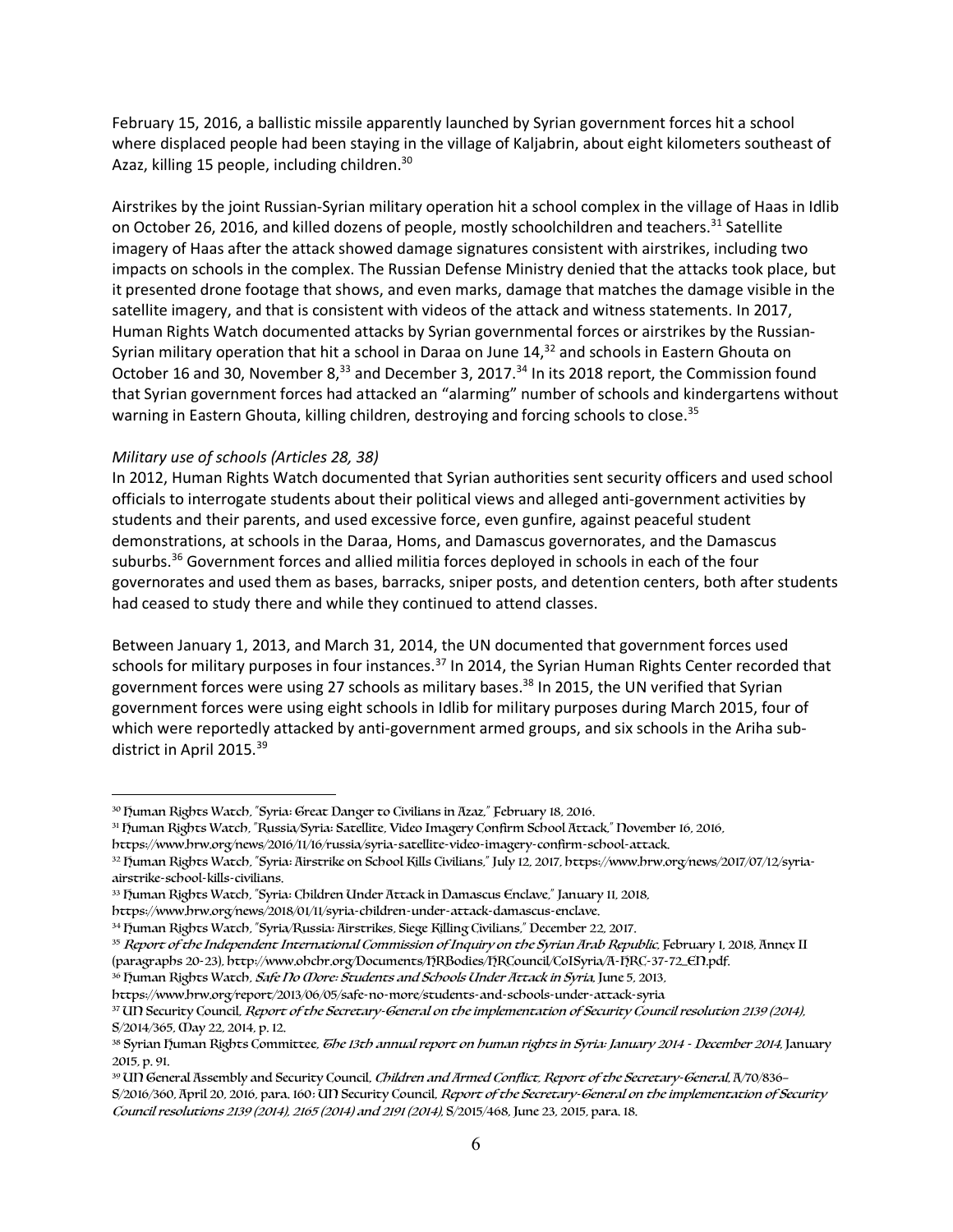February 15, 2016, a ballistic missile apparently launched by Syrian government forces hit a school where displaced people had been staying in the village of Kaljabrin, about eight kilometers southeast of Azaz, killing 15 people, including children.<sup>30</sup>

Airstrikes by the joint Russian-Syrian military operation hit a school complex in the village of Haas in Idlib on October 26, 2016, and killed dozens of people, mostly schoolchildren and teachers.<sup>31</sup> Satellite imagery of Haas after the attack showed damage signatures consistent with airstrikes, including two impacts on schools in the complex. The Russian Defense Ministry denied that the attacks took place, but it presented drone footage that shows, and even marks, damage that matches the damage visible in the satellite imagery, and that is consistent with videos of the attack and witness statements. In 2017, Human Rights Watch documented attacks by Syrian governmental forces or airstrikes by the Russian-Syrian military operation that hit a school in Daraa on June 14,<sup>32</sup> and schools in Eastern Ghouta on October 16 and 30, November 8,<sup>33</sup> and December 3, 2017.<sup>34</sup> In its 2018 report, the Commission found that Syrian government forces had attacked an "alarming" number of schools and kindergartens without warning in Eastern Ghouta, killing children, destroying and forcing schools to close.<sup>35</sup>

### *Military use of schools (Articles 28, 38)*

 $\overline{a}$ 

In 2012, Human Rights Watch documented that Syrian authorities sent security officers and used school officials to interrogate students about their political views and alleged anti-government activities by students and their parents, and used excessive force, even gunfire, against peaceful student demonstrations, at schools in the Daraa, Homs, and Damascus governorates, and the Damascus suburbs.<sup>36</sup> Government forces and allied militia forces deployed in schools in each of the four governorates and used them as bases, barracks, sniper posts, and detention centers, both after students had ceased to study there and while they continued to attend classes.

Between January 1, 2013, and March 31, 2014, the UN documented that government forces used schools for military purposes in four instances.<sup>37</sup> In 2014, the Syrian Human Rights Center recorded that government forces were using 27 schools as military bases.<sup>38</sup> In 2015, the UN verified that Syrian government forces were using eight schools in Idlib for military purposes during March 2015, four of which were reportedly attacked by anti-government armed groups, and six schools in the Ariha subdistrict in April 2015.<sup>39</sup>

<sup>30</sup> Human Rights Watch, "Syria: Great Danger to Civilians in Azaz," February 18, 2016.

<sup>31</sup> Human Rights Watch, "Russia/Syria: Satellite, Video Imagery Confirm School Attack," November 16, 2016,

https://www.hrw.org/news/2016/11/16/russia/syria-satellite-video-imagery-confirm-school-attack.

<sup>32</sup> Human Rights Watch, "Syria: Airstrike on School Kills Civilians," July 12, 2017, https://www.hrw.org/news/2017/07/12/syriaairstrike-school-kills-civilians.

<sup>33</sup> Human Rights Watch, "Syria: Children Under Attack in Damascus Enclave," January 11, 2018,

https://www.hrw.org/news/2018/01/11/syria-children-under-attack-damascus-enclave.

<sup>34</sup> Human Rights Watch, "Syria/Russia: Airstrikes, Siege Killing Civilians," December 22, 2017.

<sup>&</sup>lt;sup>35</sup> Report of the Independent International Commission of Inquiry on the Syrian Arab Republic, February 1, 2018, Annex II (paragraphs 20-23), http://www.ohchr.org/Documents/HRBodies/HRCouncil/CoISyria/A-HRC-37-72\_EN.pdf.

<sup>&</sup>lt;sup>36</sup> Fuman Rights Watch*, Safe No Obore: Students and Schools Under Attack in Syria*, June 5, 2013,

https://www.hrw.org/report/2013/06/05/safe-no-more/students-and-schools-under-attack-syria

<sup>&</sup>lt;sup>37</sup> UN Security Council, Report of the Secretary-General on the implementation of Security Council resolution 2139 (2014), S/2014/365, May 22, 2014, p. 12.

<sup>38</sup> Syrian human Rights Committee, The 13th annual report on human rights in Syria: January 2014 - December 2014, January 2015, p. 91.

<sup>&</sup>lt;sup>39</sup> UN General Assembly and Security Council, Children and Armed Conflict, Report of the Secretary-General, A/70/836-S/2016/360, April 20, 2016, para. 160: UN Security Council, Report of the Secretary-General on the implementation of Security Council resolutions 2139 (2014), 2165 (2014) and 2191 (2014), S/2015/468, June 23, 2015, para. 18.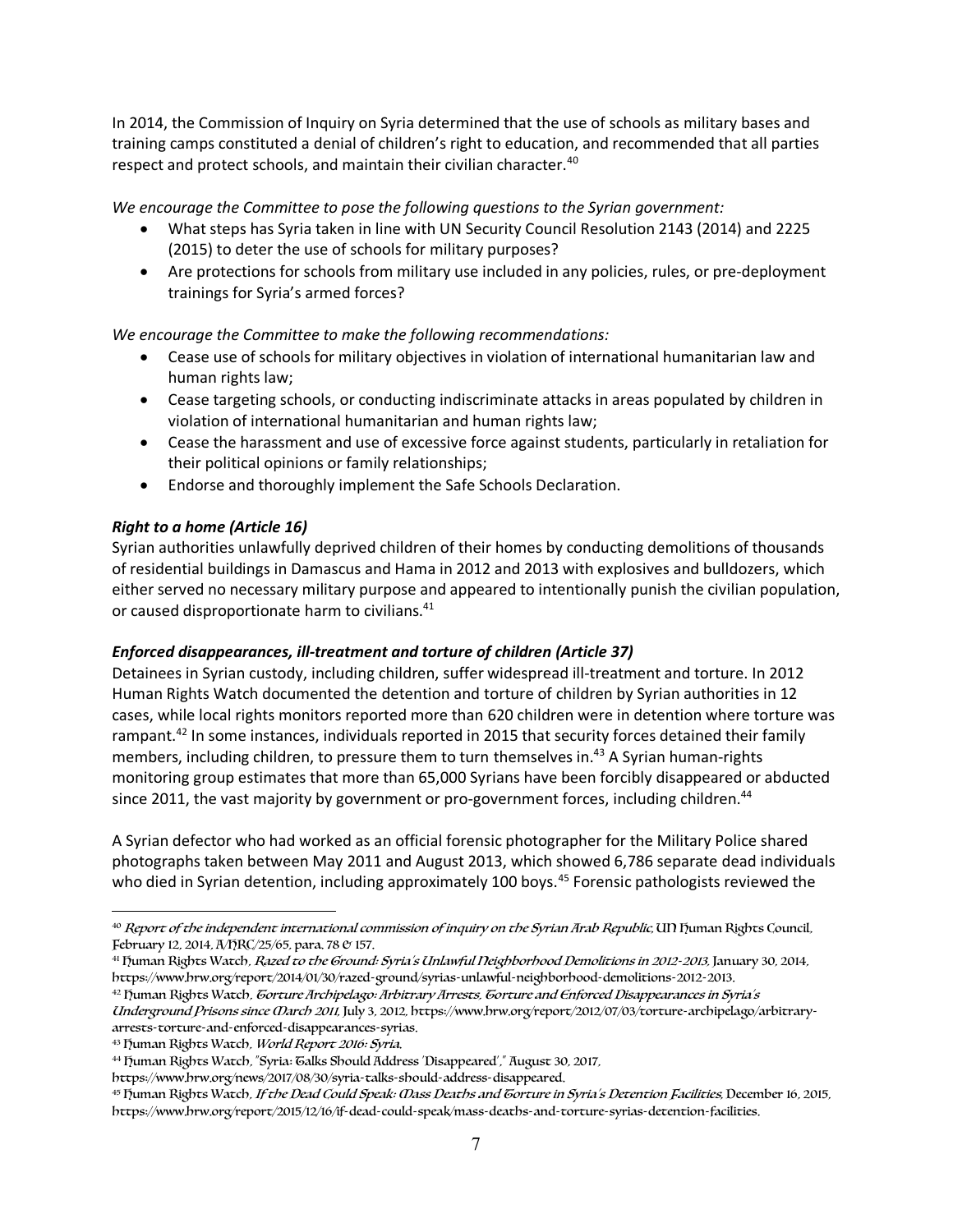In 2014, the Commission of Inquiry on Syria determined that the use of schools as military bases and training camps constituted a denial of children's right to education, and recommended that all parties respect and protect schools, and maintain their civilian character.<sup>40</sup>

*We encourage the Committee to pose the following questions to the Syrian government:*

- What steps has Syria taken in line with UN Security Council Resolution 2143 (2014) and 2225 (2015) to deter the use of schools for military purposes?
- Are protections for schools from military use included in any policies, rules, or pre-deployment trainings for Syria's armed forces?

*We encourage the Committee to make the following recommendations:*

- Cease use of schools for military objectives in violation of international humanitarian law and human rights law;
- Cease targeting schools, or conducting indiscriminate attacks in areas populated by children in violation of international humanitarian and human rights law;
- Cease the harassment and use of excessive force against students, particularly in retaliation for their political opinions or family relationships;
- Endorse and thoroughly implement the Safe Schools Declaration.

## *Right to a home (Article 16)*

Syrian authorities unlawfully deprived children of their homes by conducting demolitions of thousands of residential buildings in Damascus and Hama in 2012 and 2013 with explosives and bulldozers, which either served no necessary military purpose and appeared to intentionally punish the civilian population, or caused disproportionate harm to civilians.<sup>41</sup>

### *Enforced disappearances, ill-treatment and torture of children (Article 37)*

Detainees in Syrian custody, including children, suffer widespread ill-treatment and torture. In 2012 Human Rights Watch documented the detention and torture of children by Syrian authorities in 12 cases, while local rights monitors reported more than 620 children were in detention where torture was rampant.<sup>42</sup> In some instances, individuals reported in 2015 that security forces detained their family members, including children, to pressure them to turn themselves in.<sup>43</sup> A Syrian human-rights monitoring group estimates that more than 65,000 Syrians have been forcibly disappeared or abducted since 2011, the vast majority by government or pro-government forces, including children.<sup>44</sup>

A Syrian defector who had worked as an official forensic photographer for the Military Police shared photographs taken between May 2011 and August 2013, which showed 6,786 separate dead individuals who died in Syrian detention, including approximately 100 boys.<sup>45</sup> Forensic pathologists reviewed the

<sup>42</sup> Fuman Rights Watch, Gorture Archipelago: Arbitrary Arrests, Gorture and Enforced Disappearances in Syria's Underground Prisons since March 2011, July 3, 2012, https://www.hrw.org/report/2012/07/03/torture-archipelago/arbitraryarrests-torture-and-enforced-disappearances-syrias.

 $\overline{a}$ 

<sup>&</sup>lt;sup>40</sup> Report of the independent international commission of inquiry on the Syrian Arab Republic, UN Fuman Rights Council, February 12, 2014, A/HRC/25/65, para, 78 & 157.

<sup>41</sup> Fuman Rights Watch, Razed to the Ground: Syria's Unlawful Neighborhood Demolitions in 2012-2013, January 30, 2014, https://www.hrw.org/report/2014/01/30/razed-ground/syrias-unlawful-neighborhood-demolitions-2012-2013.

<sup>43</sup> Fuman Rights Watch, World Report 2016: Syria.

<sup>44</sup> Human Rights Watch, "Syria: Talks Should Address 'Disappeared'," August 30, 2017,

https://www.hrw.org/news/2017/08/30/syria-talks-should-address-disappeared.

<sup>&</sup>lt;sup>45</sup> Human Rights Watch, If the Dead Could Speak: *Oass Deaths and Gorture in Syria's Detention Facilities*, December 16, 2015, https://www.hrw.org/report/2015/12/16/if-dead-could-speak/mass-deaths-and-torture-syrias-detention-facilities.